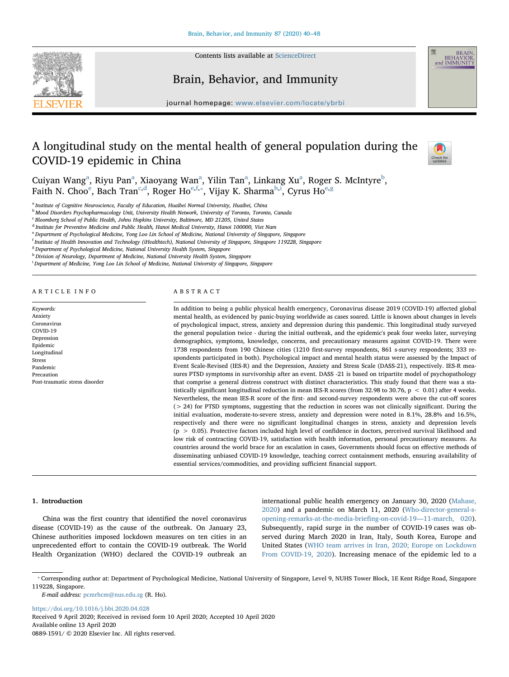

Contents lists available at [ScienceDirect](http://www.sciencedirect.com/science/journal/08891591)

# Brain, Behavior, and Immunity

journal homepage: www.elsevier.com/locate/ $\frac{1}{2}$ 

## A longitudinal study on the mental health of general population during the COVID-19 epidemic in China



BEHAVIOR<br>and IMMUNITY

Cuiy[a](#page-0-0)n Wang<sup>a</sup>, Riyu Pan<sup>a</sup>, Xiaoyang Wan<sup>a</sup>, Yilin Tan<sup>a</sup>, Linkang Xu<sup>a</sup>, Roger S. McIntyre<sup>[b](#page-0-1)</sup>, Faith N. Choo<sup>[e](#page-0-2)</sup>, Ba[c](#page-0-3)h Tran<sup>c,[d](#page-0-4)</sup>, Roger Ho<sup>e[,f,](#page-0-5)\*</sup>, Vijay K. Sharma<sup>[h,](#page-0-7)[i](#page-0-8)</sup>, Cyrus Ho<sup>e[,g](#page-0-9)</sup>

<span id="page-0-0"></span><sup>a</sup> Institute of Cognitive Neuroscience, Faculty of Education, Huaibei Normal University, Huaibei, China

<span id="page-0-1"></span><sup>b</sup> Mood Disorders Psychopharmacology Unit, University Health Network, University of Toronto, Toronto, Canada

<span id="page-0-3"></span><sup>c</sup> Bloomberg School of Public Health, Johns Hopkins University, Baltimore, MD 21205, United States

<span id="page-0-4"></span><sup>d</sup> Institute for Preventive Medicine and Public Health, Hanoi Medical University, Hanoi 100000, Viet Nam

<span id="page-0-2"></span><sup>e</sup> Department of Psychological Medicine, Yong Loo Lin School of Medicine, National University of Singapore, Singapore

<span id="page-0-5"></span>f Institute of Health Innovation and Technology (iHealthtech), National University of Singapore, Singapore 119228, Singapore

<span id="page-0-9"></span><sup>8</sup> Department of Psychological Medicine, National University Health System, Singapore

<span id="page-0-7"></span>h Division of Neurology, Department of Medicine, National University Health System, Singapore

<span id="page-0-8"></span><sup>i</sup> Department of Medicine, Yong Loo Lin School of Medicine, National University of Singapore, Singapore

#### ARTICLE INFO

#### Keywords: Anxiety Coronavirus  $C<sub>OMID-19</sub>$ Depression Epidemic Longitudinal Stress Pandemic Precaution Post-traumatic stress disorder

### ABSTRACT

In addition to being a public physical health emergency, Coronavirus disease 2019 (COVID-19) affected global mental health, as evidenced by panic-buying worldwide as cases soared. Little is known about changes in levels of psychological impact, stress, anxiety and depression during this pandemic. This longitudinal study surveyed the general population twice - during the initial outbreak, and the epidemic's peak four weeks later, surveying demographics, symptoms, knowledge, concerns, and precautionary measures against COVID-19. There were 1738 respondents from 190 Chinese cities (1210 first-survey respondents, 861 s-survey respondents; 333 respondents participated in both). Psychological impact and mental health status were assessed by the Impact of Event Scale-Revised (IES-R) and the Depression, Anxiety and Stress Scale (DASS-21), respectively. IES-R measures PTSD symptoms in survivorship after an event. DASS -21 is based on tripartite model of psychopathology that comprise a general distress construct with distinct characteristics. This study found that there was a statistically significant longitudinal reduction in mean IES-R scores (from 32.98 to 30.76,  $p < 0.01$ ) after 4 weeks. Nevertheless, the mean IES-R score of the first- and second-survey respondents were above the cut-off scores (> 24) for PTSD symptoms, suggesting that the reduction in scores was not clinically significant. During the initial evaluation, moderate-to-severe stress, anxiety and depression were noted in 8.1%, 28.8% and 16.5%, respectively and there were no significant longitudinal changes in stress, anxiety and depression levels (p > 0.05). Protective factors included high level of confidence in doctors, perceived survival likelihood and low risk of contracting COVID-19, satisfaction with health information, personal precautionary measures. As countries around the world brace for an escalation in cases, Governments should focus on effective methods of disseminating unbiased COVID-19 knowledge, teaching correct containment methods, ensuring availability of essential services/commodities, and providing sufficient financial support.

#### 1. Introduction

China was the first country that identified the novel coronavirus disease (COVID-19) as the cause of the outbreak. On January 23, Chinese authorities imposed lockdown measures on ten cities in an unprecedented effort to contain the COVID-19 outbreak. The World Health Organization (WHO) declared the COVID-19 outbreak an

international public health emergency on January 30, 2020 ([Mahase,](#page-8-0) [2020\)](#page-8-0) and a pandemic on March 11, 2020 [\(Who-director-general-s](#page-8-1)[opening-remarks-at-the-media-brie](#page-8-1)fing-on-covid-19—11-march, 020). Subsequently, rapid surge in the number of COVID-19 cases was observed during March 2020 in Iran, Italy, South Korea, Europe and United States ([WHO team arrives in Iran, 2020; Europe on Lockdown](#page-8-2) [From COVID-19, 2020](#page-8-2)). Increasing menace of the epidemic led to a

E-mail address: [pcmrhcm@nus.edu.sg](mailto:pcmrhcm@nus.edu.sg) (R. Ho).

<https://doi.org/10.1016/j.bbi.2020.04.028>

Received 9 April 2020; Received in revised form 10 April 2020; Accepted 10 April 2020 Available online 13 April 2020

0889-1591/ © 2020 Elsevier Inc. All rights reserved.

<span id="page-0-6"></span><sup>⁎</sup> Corresponding author at: Department of Psychological Medicine, National University of Singapore, Level 9, NUHS Tower Block, 1E Kent Ridge Road, Singapore 119228, Singapore.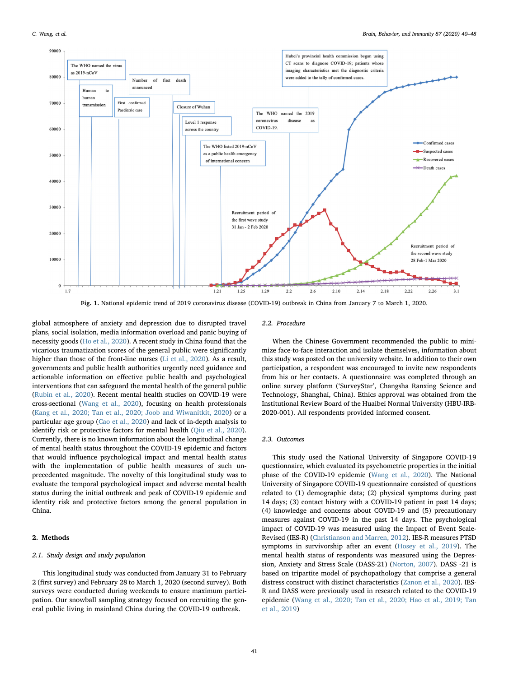<span id="page-1-0"></span>

Fig. 1. National epidemic trend of 2019 coronavirus disease (COVID-19) outbreak in China from January 7 to March 1, 2020.

global atmosphere of anxiety and depression due to disrupted travel plans, social isolation, media information overload and panic buying of necessity goods ([Ho et al., 2020](#page-8-3)). A recent study in China found that the vicarious traumatization scores of the general public were significantly higher than those of the front-line nurses [\(Li et al., 2020\)](#page-8-4). As a result, governments and public health authorities urgently need guidance and actionable information on effective public health and psychological interventions that can safeguard the mental health of the general public ([Rubin et al., 2020](#page-8-5)). Recent mental health studies on COVID-19 were cross-sectional ([Wang et al., 2020](#page-8-6)), focusing on health professionals ([Kang et al., 2020; Tan et al., 2020; Joob and Wiwanitkit, 2020](#page-8-7)) or a particular age group [\(Cao et al., 2020\)](#page-8-8) and lack of in-depth analysis to identify risk or protective factors for mental health ([Qiu et al., 2020](#page-8-9)). Currently, there is no known information about the longitudinal change of mental health status throughout the COVID-19 epidemic and factors that would influence psychological impact and mental health status with the implementation of public health measures of such unprecedented magnitude. The novelty of this longitudinal study was to evaluate the temporal psychological impact and adverse mental health status during the initial outbreak and peak of COVID-19 epidemic and identity risk and protective factors among the general population in China.

### 2. Methods

## 2.1. Study design and study population

This longitudinal study was conducted from January 31 to February 2 (first survey) and February 28 to March 1, 2020 (second survey). Both surveys were conducted during weekends to ensure maximum participation. Our snowball sampling strategy focused on recruiting the general public living in mainland China during the COVID-19 outbreak.

#### 2.2. Procedure

When the Chinese Government recommended the public to minimize face-to-face interaction and isolate themselves, information about this study was posted on the university website. In addition to their own participation, a respondent was encouraged to invite new respondents from his or her contacts. A questionnaire was completed through an online survey platform ('SurveyStar', Changsha Ranxing Science and Technology, Shanghai, China). Ethics approval was obtained from the Institutional Review Board of the Huaibei Normal University (HBU-IRB-2020-001). All respondents provided informed consent.

#### 2.3. Outcomes

This study used the National University of Singapore COVID-19 questionnaire, which evaluated its psychometric properties in the initial phase of the COVID-19 epidemic ([Wang et al., 2020](#page-8-10)). The National University of Singapore COVID-19 questionnaire consisted of questions related to (1) demographic data; (2) physical symptoms during past 14 days; (3) contact history with a COVID-19 patient in past 14 days; (4) knowledge and concerns about COVID-19 and (5) precautionary measures against COVID-19 in the past 14 days. The psychological impact of COVID-19 was measured using the Impact of Event Scale-Revised (IES-R) [\(Christianson and Marren, 2012](#page-8-11)). IES-R measures PTSD symptoms in survivorship after an event [\(Hosey et al., 2019\)](#page-8-12). The mental health status of respondents was measured using the Depression, Anxiety and Stress Scale (DASS-21) [\(Norton, 2007](#page-8-13)). DASS -21 is based on tripartite model of psychopathology that comprise a general distress construct with distinct characteristics [\(Zanon et al., 2020](#page-8-14)). IES-R and DASS were previously used in research related to the COVID-19 epidemic ([Wang et al., 2020; Tan et al., 2020; Hao et al., 2019; Tan](#page-8-10) [et al., 2019](#page-8-10))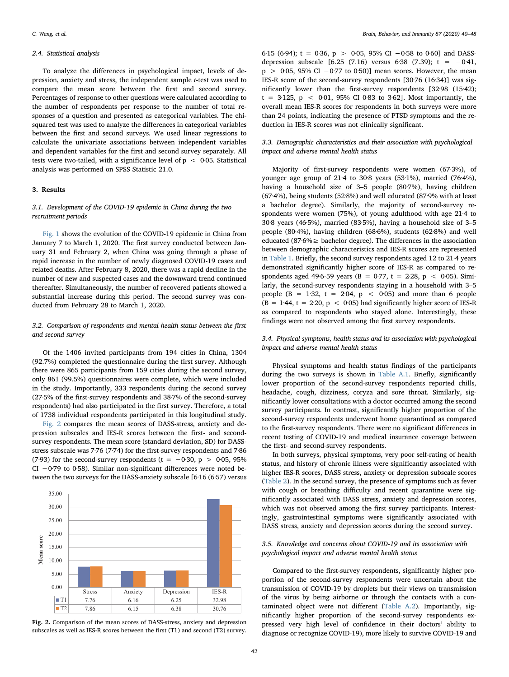#### 2.4. Statistical analysis

To analyze the differences in psychological impact, levels of depression, anxiety and stress, the independent sample t-test was used to compare the mean score between the first and second survey. Percentages of response to other questions were calculated according to the number of respondents per response to the number of total responses of a question and presented as categorical variables. The chisquared test was used to analyze the differences in categorical variables between the first and second surveys. We used linear regressions to calculate the univariate associations between independent variables and dependent variables for the first and second survey separately. All tests were two-tailed, with a significance level of  $p < 0.05$ . Statistical analysis was performed on SPSS Statistic 21.0.

## 3. Results

## 3.1. Development of the COVID-19 epidemic in China during the two recruitment periods

[Fig. 1](#page-1-0) shows the evolution of the COVID-19 epidemic in China from January 7 to March 1, 2020. The first survey conducted between January 31 and February 2, when China was going through a phase of rapid increase in the number of newly diagnosed COVID-19 cases and related deaths. After February 8, 2020, there was a rapid decline in the number of new and suspected cases and the downward trend continued thereafter. Simultaneously, the number of recovered patients showed a substantial increase during this period. The second survey was conducted from February 28 to March 1, 2020.

## 3.2. Comparison of respondents and mental health status between the first and second survey

Of the 1406 invited participants from 194 cities in China, 1304 (92.7%) completed the questionnaire during the first survey. Although there were 865 participants from 159 cities during the second survey, only 861 (99.5%) questionnaires were complete, which were included in the study. Importantly, 333 respondents during the second survey (27·5% of the first-survey respondents and 38·7% of the second-survey respondents) had also participated in the first survey. Therefore, a total of 1738 individual respondents participated in this longitudinal study.

[Fig. 2](#page-2-0) compares the mean scores of DASS-stress, anxiety and depression subscales and IES-R scores between the first- and secondsurvey respondents. The mean score (standard deviation, SD) for DASSstress subscale was 7·76 (7·74) for the first-survey respondents and 7·86 (7·93) for the second-survey respondents (t =  $-0.30$ , p > 0 $0.05$ , 95% CI −0·79 to 0·58). Similar non-significant differences were noted between the two surveys for the DASS-anxiety subscale [6·16 (6·57) versus

<span id="page-2-0"></span>

Fig. 2. Comparison of the mean scores of DASS-stress, anxiety and depression subscales as well as IES-R scores between the first (T1) and second (T2) survey.

6·15 (6·94);  $t = 0.36$ ,  $p > 0.05$ , 95% CI -0·58 to 0·60] and DASSdepression subscale [6.25 (7.16) versus 6·38 (7.39); t =  $-0.41$ , p > 0·05, 95% CI −0·77 to 0·50)] mean scores. However, the mean IES-R score of the second-survey respondents [30·76 (16·34)] was significantly lower than the first-survey respondents [32·98 (15·42);  $t = 3.125$ ,  $p < 0.01$ , 95% CI 0.83 to 3.62]. Most importantly, the overall mean IES-R scores for respondents in both surveys were more than 24 points, indicating the presence of PTSD symptoms and the reduction in IES-R scores was not clinically significant.

## 3.3. Demographic characteristics and their association with psychological impact and adverse mental health status

Majority of first-survey respondents were women (67·3%), of younger age group of 21·4 to 30·8 years (53·1%), married (76·4%), having a household size of 3–5 people (80·7%), having children (67·4%), being students (52·8%) and well educated (87·9% with at least a bachelor degree). Similarly, the majority of second-survey respondents were women (75%), of young adulthood with age 21·4 to 30·8 years (46·5%), married (83·5%), having a household size of 3–5 people (80·4%), having children (68·6%), students (62·8%) and well educated (87·6% $\geq$  bachelor degree). The differences in the association between demographic characteristics and IES-R scores are represented in [Table 1.](#page-3-0) Briefly, the second survey respondents aged 12 to 21·4 years demonstrated significantly higher score of IES-R as compared to respondents aged 49.6-59 years (B = 0.77, t = 2.28, p < 0.05). Similarly, the second-survey respondents staying in a household with 3–5 people (B = 1.32, t = 2.04,  $p < 0.05$ ) and more than 6 people  $(B = 1.44, t = 2.20, p < 0.05)$  had significantly higher score of IES-R as compared to respondents who stayed alone. Interestingly, these findings were not observed among the first survey respondents.

## 3.4. Physical symptoms, health status and its association with psychological impact and adverse mental health status

Physical symptoms and health status findings of the participants during the two surveys is shown in Table A.1. Briefly, significantly lower proportion of the second-survey respondents reported chills, headache, cough, dizziness, coryza and sore throat. Similarly, significantly lower consultations with a doctor occurred among the second survey participants. In contrast, significantly higher proportion of the second-survey respondents underwent home quarantined as compared to the first-survey respondents. There were no significant differences in recent testing of COVID-19 and medical insurance coverage between the first- and second-survey respondents.

In both surveys, physical symptoms, very poor self-rating of health status, and history of chronic illness were significantly associated with higher IES-R scores, DASS stress, anxiety or depression subscale scores ([Table 2\)](#page-4-0). In the second survey, the presence of symptoms such as fever with cough or breathing difficulty and recent quarantine were significantly associated with DASS stress, anxiety and depression scores, which was not observed among the first survey participants. Interestingly, gastrointestinal symptoms were significantly associated with DASS stress, anxiety and depression scores during the second survey.

## 3.5. Knowledge and concerns about COVID-19 and its association with psychological impact and adverse mental health status

Compared to the first-survey respondents, significantly higher proportion of the second-survey respondents were uncertain about the transmission of COVID-19 by droplets but their views on transmission of the virus by being airborne or through the contacts with a contaminated object were not different (Table A.2). Importantly, significantly higher proportion of the second-survey respondents expressed very high level of confidence in their doctors' ability to diagnose or recognize COVID-19), more likely to survive COVID-19 and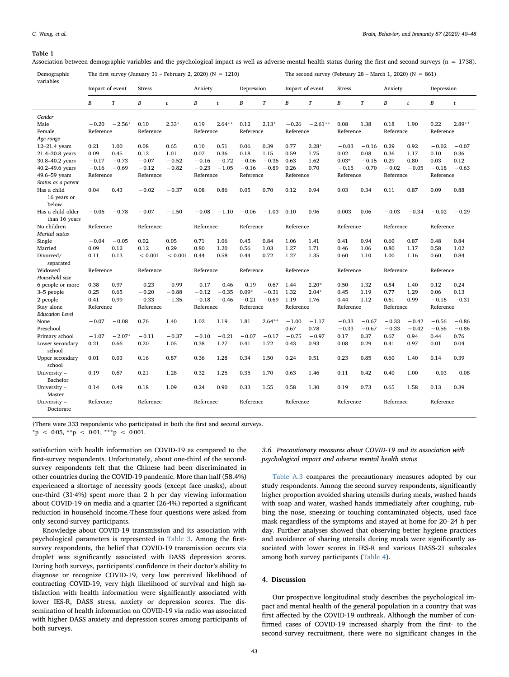#### <span id="page-3-0"></span>Table 1

Association between demographic variables and the psychological impact as well as adverse mental health status during the first and second surveys (n = 1738).

| Demographic                         |                  |          |                  | The first survey (January 31 – February 2, 2020) ( $N = 1210$ ) |                  |          |                  |          |                  | The second survey (February 28 – March 1, 2020) ( $N = 861$ ) |                  |         |                  |         |                  |          |
|-------------------------------------|------------------|----------|------------------|-----------------------------------------------------------------|------------------|----------|------------------|----------|------------------|---------------------------------------------------------------|------------------|---------|------------------|---------|------------------|----------|
| variables                           | Impact of event  |          | <b>Stress</b>    |                                                                 | Anxiety          |          | Depression       |          | Impact of event  |                                                               | Stress           |         | Anxiety          |         | Depression       |          |
|                                     | $\boldsymbol{B}$ | T        | $\boldsymbol{B}$ | t                                                               | $\boldsymbol{B}$ | t        | $\boldsymbol{B}$ | T        | $\boldsymbol{B}$ | T                                                             | $\boldsymbol{B}$ | T       | $\boldsymbol{B}$ | t       | $\boldsymbol{B}$ | t        |
| Gender                              |                  |          |                  |                                                                 |                  |          |                  |          |                  |                                                               |                  |         |                  |         |                  |          |
| Male                                | $-0.20$          | $-2.56*$ | 0.10             | $2.33*$                                                         | 0.19             | $2.64**$ | 0.12             | $2.13*$  | $-0.26$          | $-2.61**$                                                     | 0.08             | 1.38    | 0.18             | 1.90    | 0.22             | $2.89**$ |
| Female                              | Reference        |          | Reference        |                                                                 | Reference        |          | Reference        |          | Reference        |                                                               | Reference        |         | Reference        |         | Reference        |          |
| Age range                           |                  |          |                  |                                                                 |                  |          |                  |          |                  |                                                               |                  |         |                  |         |                  |          |
| $12-21.4$ years                     | 0.21             | 1.00     | 0.08             | 0.65                                                            | 0.10             | 0.51     | 0.06             | 0.39     | 0.77             | $2.28*$                                                       | $-0.03$          | $-0.16$ | 0.29             | 0.92    | $-0.02$          | $-0.07$  |
| 21.4-30.8 years                     | 0.09             | 0.45     | 0.12             | 1.01                                                            | 0.07             | 0.36     | 0.18             | 1.15     | 0.59             | 1.75                                                          | 0.02             | 0.08    | 0.36             | 1.17    | 0.10             | 0.36     |
| 30.8-40.2 years                     | $-0.17$          | $-0.73$  | $-0.07$          | $-0.52$                                                         | $-0.16$          | $-0.72$  | $-0.06$          | $-0.36$  | 0.63             | 1.62                                                          | $0.03*$          | $-0.15$ | 0.29             | 0.80    | 0.03             | 0.12     |
| 40.2-49.6 years                     | $-0.16$          | $-0.69$  | $-0.12$          | $-0.82$                                                         | $-0.23$          | $-1.05$  | $-0.16$          | $-0.89$  | 0.26             | 0.70                                                          | $-0.15$          | $-0.70$ | $-0.02$          | $-0.05$ | $-0.18$          | $-0.63$  |
| 49.6-59 years                       | Reference        |          | Reference        |                                                                 | Reference        |          | Reference        |          | Reference        |                                                               | Reference        |         | Reference        |         | Reference        |          |
| Status as a parent                  |                  |          |                  |                                                                 |                  |          |                  |          |                  |                                                               |                  |         |                  |         |                  |          |
| Has a child<br>16 years or<br>below | 0.04             | 0.43     | $-0.02$          | $-0.37$                                                         | 0.08             | 0.86     | 0.05             | 0.70     | 0.12             | 0.94                                                          | 0.03             | 0.34    | 0.11             | 0.87    | 0.09             | 0.88     |
| Has a child older<br>than 16 years  | $-0.06$          | $-0.78$  | $-0.07$          | $-1.50$                                                         | $-0.08$          | $-1.10$  | $-0.06$          | $-1.03$  | 0.10             | 0.96                                                          | 0.003            | 0.06    | $-0.03$          | $-0.34$ | $-0.02$          | $-0.29$  |
| No children                         | Reference        |          | Reference        |                                                                 | Reference        |          | Reference        |          | Reference        |                                                               | Reference        |         | Reference        |         | Reference        |          |
| <b>Marital</b> status               |                  |          |                  |                                                                 |                  |          |                  |          |                  |                                                               |                  |         |                  |         |                  |          |
| Single                              | $-0.04$          | $-0.05$  | 0.02             | 0.05                                                            | 0.71             | 1.06     | 0.45             | 0.84     | 1.06             | 1.41                                                          | 0.41             | 0.94    | 0.60             | 0.87    | 0.48             | 0.84     |
| Married                             | 0.09             | 0.12     | 0.12             | 0.29                                                            | 0.80             | 1.20     | 0.56             | 1.03     | 1.27             | 1.71                                                          | 0.46             | 1.06    | 0.80             | 1.17    | 0.58             | 1.02     |
| Divorced/                           | 0.11             | 0.13     | ${}< 0.001$      | ${}< 0.001$                                                     | 0.44             | 0.58     | 0.44             | 0.72     | 1.27             | 1.35                                                          | 0.60             | 1.10    | 1.00             | 1.16    | 0.60             | 0.84     |
| separated                           |                  |          |                  |                                                                 |                  |          |                  |          |                  |                                                               |                  |         |                  |         |                  |          |
| Widowed                             | Reference        |          | Reference        |                                                                 | Reference        |          | Reference        |          | Reference        |                                                               | Reference        |         | Reference        |         | Reference        |          |
| Household size                      |                  |          |                  |                                                                 |                  |          |                  |          |                  |                                                               |                  |         |                  |         |                  |          |
| 6 people or more                    | 0.38             | 0.97     | $-0.23$          | $-0.99$                                                         | $-0.17$          | $-0.46$  | $-0.19$          | $-0.67$  | 1.44             | $2.20*$                                                       | 0.50             | 1.32    | 0.84             | 1.40    | 0.12             | 0.24     |
| 3–5 people                          | 0.25             | 0.65     | $-0.20$          | $-0.88$                                                         | $-0.12$          | $-0.35$  | $0.09*$          | $-0.31$  | 1.32             | $2.04*$                                                       | 0.45             | 1.19    | 0.77             | 1.29    | 0.06             | 0.13     |
| 2 people                            | 0.41             | 0.99     | $-0.33$          | $-1.35$                                                         | $-0.18$          | $-0.46$  | $-0.21$          | $-0.69$  | 1.19             | 1.76                                                          | 0.44             | 1.12    | 0.61             | 0.99    | $-0.16$          | $-0.31$  |
| Stay alone                          | Reference        |          | Reference        |                                                                 | Reference        |          | Reference        |          | Reference        |                                                               | Reference        |         | Reference        |         | Reference        |          |
| <b>Education Level</b>              |                  |          |                  |                                                                 |                  |          |                  |          |                  |                                                               |                  |         |                  |         |                  |          |
| None                                | $-0.07$          | $-0.08$  | 0.76             | 1.40                                                            | 1.02             | 1.19     | 1.81             | $2.64**$ | $-1.00$          | $-1.17$                                                       | $-0.33$          | $-0.67$ | $-0.33$          | $-0.42$ | $-0.56$          | $-0.86$  |
| Preschool                           |                  |          |                  |                                                                 |                  |          |                  |          | 0.67             | 0.78                                                          | $-0.33$          | $-0.67$ | $-0.33$          | $-0.42$ | $-0.56$          | $-0.86$  |
| Primary school                      | $-1.07$          | $-2.07*$ | $-0.11$          | $-0.37$                                                         | $-0.10$          | $-0.21$  | $-0.07$          | $-0.17$  | $-0.75$          | $-0.97$                                                       | 0.17             | 0.37    | 0.67             | 0.94    | 0.44             | 0.76     |
| Lower secondary<br>school           | 0.21             | 0.66     | 0.20             | 1.05                                                            | 0.38             | 1.27     | 0.41             | 1.72     | 0.43             | 0.93                                                          | 0.08             | 0.29    | 0.41             | 0.97    | 0.01             | 0.04     |
| Upper secondary<br>school           | 0.01             | 0.03     | 0.16             | 0.87                                                            | 0.36             | 1.28     | 0.34             | 1.50     | 0.24             | 0.51                                                          | 0.23             | 0.85    | 0.60             | 1.40    | 0.14             | 0.39     |
| University -<br>Bachelor            | 0.19             | 0.67     | 0.21             | 1.28                                                            | 0.32             | 1.25     | 0.35             | 1.70     | 0.63             | 1.46                                                          | 0.11             | 0.42    | 0.40             | 1.00    | $-0.03$          | $-0.08$  |
| University -<br>Master              | 0.14             | 0.49     | 0.18             | 1.09                                                            | 0.24             | 0.90     | 0.33             | 1.55     | 0.58             | 1.30                                                          | 0.19             | 0.73    | 0.65             | 1.58    | 0.13             | 0.39     |
| University -<br>Doctorate           | Reference        |          | Reference        |                                                                 | Reference        |          | Reference        |          | Reference        |                                                               | Reference        |         | Reference        |         | Reference        |          |

†There were 333 respondents who participated in both the first and second surveys.

 $*p < 0.05$ ,  $**p < 0.01$ ,  $***p < 0.001$ .

satisfaction with health information on COVID-19 as compared to the first-survey respondents. Unfortunately, about one-third of the secondsurvey respondents felt that the Chinese had been discriminated in other countries during the COVID-19 pandemic. More than half (58.4%) experienced a shortage of necessity goods (except face masks), about one-third (31·4%) spent more than 2 h per day viewing information about COVID-19 on media and a quarter (26·4%) reported a significant reduction in household income. These four questions were asked from only second-survey participants.

Knowledge about COVID-19 transmission and its association with psychological parameters is represented in [Table 3](#page-5-0). Among the firstsurvey respondents, the belief that COVID-19 transmission occurs via droplet was significantly associated with DASS depression scores. During both surveys, participants' confidence in their doctor's ability to diagnose or recognize COVID-19, very low perceived likelihood of contracting COVID-19, very high likelihood of survival and high satisfaction with health information were significantly associated with lower IES-R, DASS stress, anxiety or depression scores. The dissemination of health information on COVID-19 via radio was associated with higher DASS anxiety and depression scores among participants of both surveys.

3.6. Precautionary measures about COVID-19 and its association with psychological impact and adverse mental health status

Table A.3 compares the precautionary measures adopted by our study respondents. Among the second survey respondents, significantly higher proportion avoided sharing utensils during meals, washed hands with soap and water, washed hands immediately after coughing, rubbing the nose, sneezing or touching contaminated objects, used face mask regardless of the symptoms and stayed at home for 20–24 h per day. Further analyses showed that observing better hygiene practices and avoidance of sharing utensils during meals were significantly associated with lower scores in IES-R and various DASS-21 subscales among both survey participants [\(Table 4\)](#page-6-0).

#### 4. Discussion

Our prospective longitudinal study describes the psychological impact and mental health of the general population in a country that was first affected by the COVID-19 outbreak. Although the number of confirmed cases of COVID-19 increased sharply from the first- to the second-survey recruitment, there were no significant changes in the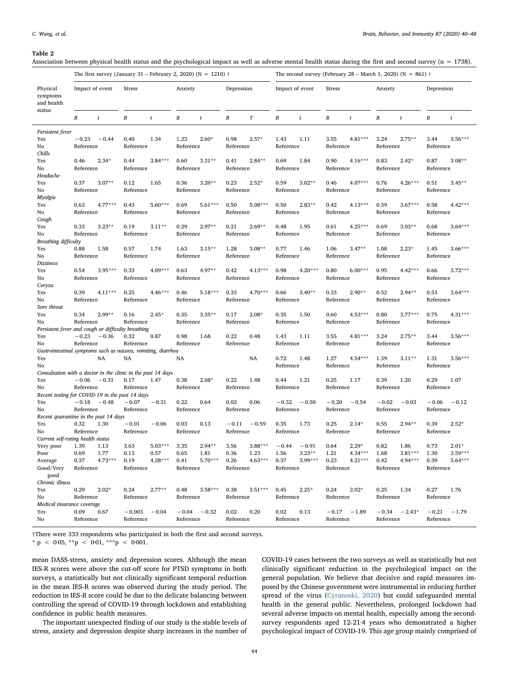#### <span id="page-4-0"></span>Table 2

Association between physical health status and the psychological impact as well as adverse mental health status during the first and second survey (n = 1738).

|                                                              |                      |                   | The first survey (January 31 – February 2, 2020) (N = 1210) $\dagger$ |                   |                   |                   |                   |                   |                   |                       |                   | The second survey (February 28 – March 1, 2020) (N = 861) $\dagger$ |                   |                      |                      |                        |
|--------------------------------------------------------------|----------------------|-------------------|-----------------------------------------------------------------------|-------------------|-------------------|-------------------|-------------------|-------------------|-------------------|-----------------------|-------------------|---------------------------------------------------------------------|-------------------|----------------------|----------------------|------------------------|
| Physical<br>symptoms<br>and health                           | Impact of event      |                   | <b>Stress</b>                                                         |                   | Anxiety           |                   | Depression        |                   | Impact of event   |                       | <b>Stress</b>     |                                                                     | Anxiety           |                      | Depression           |                        |
| status                                                       | B                    | $\mathbf{t}$      | B                                                                     | t                 | В                 | t                 | B                 | $\cal T$          | В                 | t                     | $\boldsymbol{B}$  | $\boldsymbol{t}$                                                    | В                 | $\boldsymbol{t}$     | B                    | t                      |
| Persistent fever                                             |                      |                   |                                                                       |                   |                   |                   |                   |                   |                   |                       |                   |                                                                     |                   |                      |                      |                        |
| Yes<br>No                                                    | $-0.23$<br>Reference | $-0.44$           | 0.40<br>Reference                                                     | 1.34              | 1.23<br>Reference | $2.60*$           | 0.98<br>Reference | $2.57*$           | 1.43<br>Reference | 1.11                  | 3.55<br>Reference | $4.81***$                                                           | 3.24<br>Reference | $2.75***$            | 3.44<br>Reference    | $3.56***$              |
| Chills<br>Yes                                                | 0.46                 | $2.34*$           | 0.44                                                                  | $3.84***$         | 0.60              | $3.31**$          | 0.41              | $2.84***$         | 0.69              | 1.84                  | 0.90              | $4.16***$                                                           | 0.83              | $2.42*$              | 0.87                 | $3.08**$               |
| No<br>Headache                                               | Reference            |                   | Reference                                                             |                   | Reference         |                   | Reference         |                   | Reference         |                       | Reference         |                                                                     | Reference         |                      | Reference            |                        |
| Yes                                                          | 0.37                 | $3.07**$          | 0.12                                                                  | 1.65              | 0.36              | $3.20**$          | 0.23              | $2.52*$           | 0.59              | $3.02**$              | 0.46              | $4.07***$                                                           | 0.76              | $4.26***$            | 0.51                 | $3.45**$               |
| No<br>Myalgia                                                | Reference            |                   | Reference                                                             |                   | Reference         |                   | Reference         |                   | Reference         |                       | Reference         |                                                                     | Reference         |                      | Reference            |                        |
| Yes                                                          | 0.63                 | 4.77***           | 0.43                                                                  | 5.60***           | 0.69              | $5.61***$         | 0.50              | $5.08***$         | 0.50              | $2.83**$              | 0.42              | 4.13***                                                             | 0.59              | $3.67***$            | 0.58                 | $4.42***$              |
| No<br>Cough                                                  | Reference            |                   | Reference                                                             |                   | Reference         |                   | Reference         |                   | Reference         |                       | Reference         |                                                                     | Reference         |                      | Reference            |                        |
| Yes                                                          | 0.33                 | $3.23**$          | 0.19                                                                  | $3.11**$          | 0.29              | $2.97**$          | 0.21              | $2.69**$          | 0.48              | 1.95                  | 0.61              | 4.25***                                                             | 0.69              | $3.03**$             | 0.68                 | $3.64***$              |
| No<br>Breathing difficulty                                   | Reference            |                   | Reference                                                             |                   | Reference         |                   | Reference         |                   | Reference         |                       | Reference         |                                                                     | Reference         |                      | Reference            |                        |
| Yes                                                          | 0.88                 | 1.58              | 0.57                                                                  | 1.74              | 1.63              | $3.15**$          | 1.28              | $3.08**$          | 0.77              | 1.46                  | 1.06              | $3.47**$                                                            | 1.08              | $2.23*$              | 1.45                 | $3.66***$              |
| No<br>Dizziness                                              | Reference            |                   | Reference                                                             |                   | Reference         |                   | Reference         |                   | Reference         |                       | Reference         |                                                                     | Reference         |                      | Reference            |                        |
| Yes                                                          | 0.54                 | $3.95***$         | 0.33                                                                  | $4.09***$         | 0.63              | 4.97**            | 0.42              | $4.13***$         | 0.98              | $4.20***$             | 0.80              | $6.00***$                                                           | 0.95              | 4.42***              | 0.66                 | $3.72***$              |
| No                                                           | Reference            |                   | Reference                                                             |                   | Reference         |                   | Reference         |                   | Reference         |                       | Reference         |                                                                     | Reference         |                      | Reference            |                        |
| Coryza<br>Yes                                                | 0.39                 | $4.11***$         | 0.25                                                                  | 4.46***           | 0.46              | $5.18***$         | 0.33              | $4.70***$         | 0.66              | $3.40**$              | 0.33              | $2.90**$                                                            | 0.52              | $2.94**$             | 0.53                 | $3.64***$              |
| No                                                           | Reference            |                   | Reference                                                             |                   | Reference         |                   | Reference         |                   | Reference         |                       | Reference         |                                                                     | Reference         |                      | Reference            |                        |
| Sore throat<br>Yes                                           | 0.34                 | $2.99**$          | 0.16                                                                  | $2.45*$           | 0.35              | $3.35**$          | 0.17              | $2.08*$           | 0.35              | 1.50                  | 0.60              | $4.53***$                                                           | 0.80              | $3.77***$            | 0.75                 | $4.31***$              |
| No                                                           | Reference            |                   | Reference                                                             |                   | Reference         |                   | Reference         |                   | Reference         |                       | Reference         |                                                                     | Reference         |                      | Reference            |                        |
| Persistent fever and cough or difficulty breathing<br>Yes    | $-0.23$              | $-0.36$           | 0.32                                                                  | 0.87              | 0.98              | 1.68              | 0.22              | 0.48              | 1.43              | 1.11                  | 3.55              | $4.81***$                                                           | 3.24              | $2.75**$             | 3.44                 | $3.56***$              |
| No                                                           | Reference            |                   | Reference                                                             |                   | Reference         |                   | Reference         |                   | Reference         |                       | Reference         |                                                                     | Reference         |                      | Reference            |                        |
| Gastrointestinal symptoms such as nausea, vomiting, diarrhea |                      |                   |                                                                       |                   |                   |                   |                   |                   |                   |                       |                   |                                                                     |                   |                      |                      |                        |
| Yes<br>No                                                    |                      | NA                | NA                                                                    |                   | NA                |                   |                   | NA                | 0.72<br>Reference | 1.48                  | 1.27<br>Reference | 4.54***                                                             | 1.39<br>Reference | $3.11**$             | 1.31<br>Reference    | $3.56***$              |
| Consultation with a doctor in the clinic in the past 14 days |                      |                   |                                                                       |                   |                   |                   |                   |                   |                   |                       |                   |                                                                     |                   |                      |                      |                        |
| Yes<br>No                                                    | $-0.06$<br>Reference | $-0.31$           | 0.17<br>Reference                                                     | 1.47              | 0.38<br>Reference | $2.08*$           | 0.22<br>Reference | 1.48              | 0.44<br>Reference | 1.21                  | 0.25<br>Reference | 1.17                                                                | 0.39<br>Reference | 1.20                 | 0.29<br>Reference    | 1.07                   |
| Recent testing for COVID-19 in the past 14 days              |                      |                   |                                                                       |                   |                   |                   |                   |                   |                   |                       |                   |                                                                     |                   |                      |                      |                        |
| Yes                                                          | Reference            | $-0.18 - 0.48$    | $-0.07$<br>Reference                                                  | $-0.31$           | 0.22<br>Reference | 0.64              | 0.02              | 0.06              | $-0.32$           | $-0.50$               | $-0.20$           | $-0.54$                                                             | $-0.02$           | $-0.03$              | $-0.06$<br>Reference | $-0.12$                |
| No<br>Recent quarantine in the past 14 days                  |                      |                   |                                                                       |                   |                   |                   | Reference         |                   | Reference         |                       | Reference         |                                                                     | Reference         |                      |                      |                        |
| Yes                                                          | 0.32                 | 1.30              | $-0.01$                                                               | $-0.06$           | 0.03              | 0.13              | $-0.11$           | $-0.59$           | 0.35              | 1.73                  | 0.25              | $2.14*$                                                             | 0.55              | $2.94***$            | 0.39                 | $2.52*$                |
| No<br>Current self-rating health status                      | Reference            |                   | Reference                                                             |                   | Reference         |                   | Reference         |                   | Reference         |                       | Reference         |                                                                     | Reference         |                      | Reference            |                        |
| Very poor                                                    | 1.39                 | 1.13              | 3.63                                                                  | $5.03***$         | 3.35              | $2.94**$          | 3.56              | $3.88***$         | $-0.44$           | $-0.91$               | 0.64              | $2.29*$                                                             | 0.82              | 1.86                 | 0.73                 | $2.01*$                |
| Poor                                                         | 0.69<br>0.37         | 1.77<br>$4.73***$ | 0.13<br>0.19                                                          | 0.57<br>$4.28***$ | 0.65<br>0.41      | 1.81<br>$5.70***$ | 0.36<br>0.26      | 1.23<br>$4.63***$ | 1.56<br>0.37      | $3.23**$<br>$3.99***$ | 1.21<br>0.23      | 4.34***<br>$4.21***$                                                | 1.68<br>0.42      | $3.81***$<br>4.94*** | 1.30<br>0.39         | $3.59***$<br>$5.64***$ |
| Average<br>Good/Very                                         | Reference            |                   | Reference                                                             |                   | Reference         |                   | Reference         |                   | Reference         |                       | Reference         |                                                                     | Reference         |                      | Reference            |                        |
| good                                                         |                      |                   |                                                                       |                   |                   |                   |                   |                   |                   |                       |                   |                                                                     |                   |                      |                      |                        |
| Chronic illness<br>Yes                                       | 0.29                 | $2.02*$           | 0.24                                                                  | $2.77**$          | 0.48              | $3.58***$         | 0.38              | $3.51***$         | 0.45              | $2.25*$               | 0.24              | $2.02*$                                                             | 0.25              | 1.34                 | 0.27                 | 1.76                   |
| No                                                           | Reference            |                   | Reference                                                             |                   | Reference         |                   | Reference         |                   | Reference         |                       | Reference         |                                                                     | Reference         |                      | Reference            |                        |
| Medical insurance coverage<br>Yes                            | 0.09                 | 0.67              | $-0.003 - 0.04$                                                       |                   |                   | $-0.04 - 0.32$    | 0.02              | 0.20              | 0.02              | 0.13                  |                   | $-0.17 - 1.89$                                                      |                   | $-0.34 -2.43*$       |                      | $-0.21 - 1.79$         |
| No                                                           | Reference            |                   | Reference                                                             |                   | Reference         |                   | Reference         |                   | Reference         |                       | Reference         |                                                                     | Reference         |                      | Reference            |                        |

†There were 333 respondents who participated in both the first and second surveys.

\* p < 0·05, \*\*p < 0·01, \*\*\*p < 0·001.

mean DASS-stress, anxiety and depression scores. Although the mean IES-R scores were above the cut-off score for PTSD symptoms in both surveys, a statistically but not clinically significant temporal reduction in the mean IES-R scores was observed during the study period. The reduction in IES-R score could be due to the delicate balancing between controlling the spread of COVID-19 through lockdown and establishing confidence in public health measures.

The important unexpected finding of our study is the stable levels of stress, anxiety and depression despite sharp increases in the number of COVID-19 cases between the two surveys as well as statistically but not clinically significant reduction in the psychological impact on the general population. We believe that decisive and rapid measures imposed by the Chinese government were instrumental in reducing further spread of the virus [\(Cyranoski, 2020](#page-8-15)) but could safeguarded mental health in the general public. Nevertheless, prolonged lockdown had several adverse impacts on mental health, especially among the secondsurvey respondents aged 12-21·4 years who demonstrated a higher psychological impact of COVID-19. This age group mainly comprised of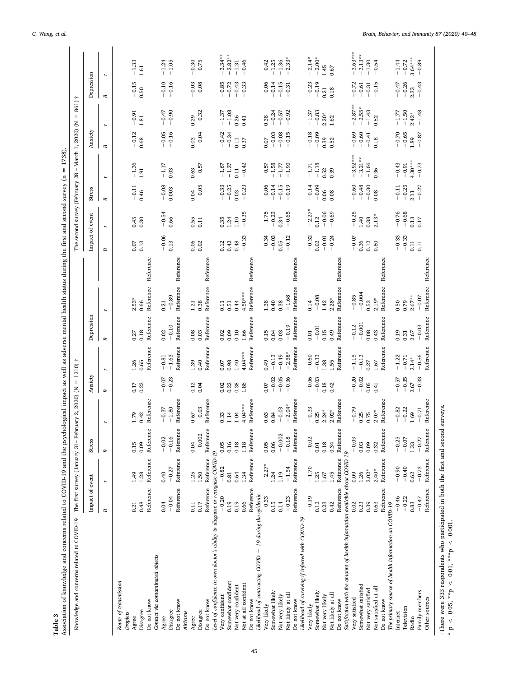<span id="page-5-0"></span>

| Knowledge and concerns related to COVID-19                                    |                 | The first survey (January 31-February |           | 2020) (N<br>$\overline{a}$ | $= 1210$ ) † |                    |                 |                          |           |                 |                 | The second survey (February 28 |                 | $-March$ 1, 2020) (N | 861) †<br>$\parallel$    |                    |                      |
|-------------------------------------------------------------------------------|-----------------|---------------------------------------|-----------|----------------------------|--------------|--------------------|-----------------|--------------------------|-----------|-----------------|-----------------|--------------------------------|-----------------|----------------------|--------------------------|--------------------|----------------------|
|                                                                               | Impact of event |                                       | Stress    |                            | Anxiety      |                    | Depression      |                          |           | Impact of event |                 | Stress                         |                 | Anxiety              |                          | Depression         |                      |
|                                                                               | В               | Ł                                     | B         |                            | B            | ŧ                  | B               | $\overline{\phantom{a}}$ |           | В               | ŧ               | В                              | ŧ               | B                    | $\overline{\phantom{a}}$ | В                  | $\ddot{\phantom{1}}$ |
| Route of transmission                                                         |                 |                                       |           |                            |              |                    |                 |                          |           |                 |                 |                                |                 |                      |                          |                    |                      |
| Droplets                                                                      |                 |                                       |           |                            |              |                    |                 |                          |           |                 |                 |                                |                 |                      |                          |                    |                      |
| Agree                                                                         | 0.21            | 1.49                                  | 0.15      | 1.79                       | 0.17         | 1.26               | 0.27            | $2.53*$                  |           | 0.07            | 0.45            | $-0.11$                        | $-1.36$         | $-0.12$              | $-0.91$                  | $-0.15$            | $-1.33$              |
| Disagree                                                                      | 0.48            | 1.28                                  | 0.09      | 0.42                       | 0.22         | 0.65               | 0.18            | Reference<br>0.66        |           | 0.13            | 0.30            | 0.46                           | 1.91            | 0.68                 | 1.81                     | 0.50               | 1.61                 |
| Contact via contaminated objects<br>Do not know                               | Reference       | Reference                             | Reference | Reference                  |              | Reference          | Reference       |                          | Reference |                 |                 |                                |                 |                      |                          |                    |                      |
|                                                                               |                 |                                       | $-0.02$   | $-0.37$                    |              |                    |                 |                          |           |                 |                 |                                |                 |                      |                          |                    |                      |
| Agree                                                                         | 0.04            | 0.40                                  |           | $-1.80$                    | $-0.07$      | $-1.63$<br>$-0.81$ | $-0.10$<br>0.02 | $-0.89$<br>0.21          |           | $-0.06$<br>0.13 | $-0.54$<br>0.66 | $-0.08$<br>0.003               | $-1.17$<br>0.03 | $-0.16$<br>$-0.05$   | $-0.90$<br>$-0.47$       | $-0.10$<br>$-0.16$ | $-1.05$<br>$-1.24$   |
| Disagree                                                                      | $-0.04$         | $-0.27$                               | $-0.16$   |                            | $-0.23$      |                    |                 |                          |           |                 |                 |                                |                 |                      |                          |                    |                      |
| Do not know<br>Airborne                                                       | Reference       | Reference                             | Reference | Reference                  |              | Reference          | Reference       | Reference                | Reference |                 |                 |                                |                 |                      |                          |                    |                      |
|                                                                               |                 |                                       |           |                            |              |                    |                 |                          |           |                 |                 |                                |                 |                      |                          |                    |                      |
| Agree                                                                         | 0.11            | 1.25                                  | 0.04      | 0.67                       | 0.12         | 1.39               | 0.08            | 1.21                     |           | 0.06            | 0.55            | 0.04                           | 0.63            | 0.03                 | 0.29                     | $-0.03$            | $-0.30$              |
| Disagree                                                                      | $0.17\,$        | 1.50                                  | $-0.002$  | $-0.03$                    | 0.04         | 0.40               | 0.03            | 0.38                     |           | 0.02            | 0.11            | $-0.05$                        | $-0.57$         | $-0.04$              | $-0.32$                  | $-0.08$            | $-0.75$              |
| Do not know                                                                   | Reference       | Reference                             | Reference | Reference                  |              | Reference          | Reference       | Reference                | Reference |                 |                 |                                |                 |                      |                          |                    |                      |
| Level of confidence in own doctor's ability to diagnose or recognize COVID-19 |                 |                                       |           |                            |              |                    |                 |                          |           |                 |                 |                                |                 |                      |                          |                    |                      |
| Very confident                                                                | $-0.20$         | $-0.82$                               | 0.05      | 0.33                       | 0.02         | 0.07               | 0.02            | 0.11                     |           | 0.12            | 0.35            | $-0.33$                        | $-1.67$         | $-0.42$              | $-1.37$                  | $-0.85$            | $-3.34**$            |
| Somewhat confident                                                            | 0.19            | 0.81                                  | 0.16      | 1.14                       | 0.22         | 0.98               | 0.09            | 0.51                     |           | 0.42            | 1.24            | $-0.25$                        | $-1.27$         | $-0.34$              | $-1.08$                  | $-0.72$            | $-2.82**$            |
| Not very confident                                                            | 0.19            | 0.64                                  | 0.18      | 1.04                       | 0.38         | 1.40               | 0.10            | 0.44                     |           | 0.48            | 1.10            | 0.03                           | 0.11            | 0.11                 | 0.26                     | $-0.43$            | $-1.31$              |
| Not at all confident                                                          | 0.66            | 1.34                                  | 1.18      | $4.04***$                  | 1.86         | $4.04***$          | 1.66            | $4.50***$                |           | $-0.33$         | $-0.35$         | $-0.23$                        | $-0.42$         | 0.37                 | 0.41                     | $-0.33$            | $-0.46$              |
| Do not know                                                                   | Reference       | Reference                             | Reference | Reference                  |              | Reference          | Reference       | Reference                | Reference |                 |                 |                                |                 |                      |                          |                    |                      |
| Likelihood of contracting COVID - 19 during the epidemic                      |                 |                                       |           |                            |              |                    |                 |                          |           |                 |                 |                                |                 |                      |                          |                    |                      |
| Very likely                                                                   | $-0.33$         | $-2.27*$                              | 0.05      | 0.63                       | 0.07         | 0.49               | 0.15            | 1.38                     |           | $-0.34$         | $-1.75$         | $-0.06$                        | $-0.57$         | 0.07                 | 0.38                     | $-0.06$            | $-0.42$              |
| Somewhat likely                                                               | 0.15            | 1.24                                  | 0.06      | 0.84                       | $-0.02$      | $-0.13$            | 0.04            | 0.40                     |           | $-0.03$         | $-0.23$         | $-0.14$                        | $-1.58$         | $-0.03$              | $-0.24$                  | $-0.14$            | $-1.25$              |
| Not very likely                                                               | 0.14            | 1.19                                  | $-0.002$  | $-0.03$                    | $-0.05$      | $-0.49$            | 0.03            | 0.38                     |           | 0.05            | 0.34            | $-0.15$                        | $-1.77$         | $-0.08$              | $-0.57$                  | $-0.15$            | $-1.36$              |
| Not likely at all                                                             | $-0.23$         | $-1.54$                               | $-0.18$   | $-2.04*$                   | $-0.36$      | $-2.58*$           | $-0.19$         | $-1.68$                  |           | $-0.12$         | $-0.65$         | $-0.19$                        | $-1.90$         | $-0.15$              | $-0.92$                  | $-0.31$            | $-2.33*$             |
| Do not know                                                                   | Reference       | Reference                             | Reference | Reference                  |              | Reference          | Reference       | Reference                | Reference |                 |                 |                                |                 |                      |                          |                    |                      |
| Likelihood of surviving if infected with COVID-19                             |                 |                                       |           |                            |              |                    |                 |                          |           |                 |                 |                                |                 |                      |                          |                    |                      |
| Very likely                                                                   | $-0.19$         | $-1.70$                               | $-0.02$   | $-0.33$                    | $-0.06$      | $-0.60$            | 0.01            | 0.14                     |           | $-0.32$         | $-2.27*$        | $-0.14$                        | $-1.71$         | $-0.18$              | $-1.37$                  | $-0.23$            | $-2.14*$             |
| Somewhat likely                                                               | 0.12            | 1.25                                  | 0.01      | 0.25                       | $-0.03$      | $-0.33$            | $-0.01$         | $-0.08$                  |           | 0.02            | 0.12            | $-0.09$                        | $-1.18$         | $-0.09$              | $-0.83$                  | $-0.19$            | $-2.00*$             |
| Not very likely                                                               | 0.23            | 1.67                                  | 0.18      | $2.24*$                    | 0.18         | 1.38               | 0.15            | 1.42                     |           | $-0.01$         | $-0.06$         | 0.06                           | 0.52            | 0.39                 | $2.20*$                  | 0.21               | 1.45                 |
| Not likely at all                                                             | 0.42            | 1.45                                  | 0.34      | $2.02*$                    | 0.42         | 1.55               | 0.49            | $2.28*$                  |           | $-0.24$         | $-0.69$         | 0.08                           | 0.39            | 0.52                 | 1.62                     | 0.18               | 0.67                 |
| Do not know                                                                   | Reference       | Reference                             | Reference | Reference                  |              | Reference          | Reference       | Reference                | Reference |                 |                 |                                |                 |                      |                          |                    |                      |
| Satisfaction with the amount of health information available about COVID-19   |                 |                                       |           |                            |              |                    |                 |                          |           |                 |                 |                                |                 |                      |                          |                    |                      |
| Very satisfied                                                                | 0.02            | 0.09                                  | $-0.09$   | $-0.79$                    | $-0.20$      | $-1.15$            | $-0.12$         | $-0.85$                  |           | $-0.07$         | $-0.25$         | $-0.60$                        | $-3.92***$      | $-0.69$              | $-2.87**$                | $-0.72$            | $-3.63***$           |
| Somewhat satisfied                                                            | 0.23            | 1.26                                  | 0.03      | 0.25                       | $-0.02$      | $-0.13$            | $-0.001$        | $-0.004$                 |           | 0.36            | 1.40            | $-0.48$                        | $-3.21**$       | $-0.60$              | $-2.55*$                 | $-0.61$            | $-3.13**$            |
| Not very satisfied                                                            | 0.39            | $2.02*$                               | 0.09      | 0.75                       | 0.05         | 0.27               | 0.08            | 0.53                     |           | 0.12            | 0.38            | $-0.30$                        | $-1.66$         | $-0.41$              | $-1.43$                  | $-0.31$            | $-1.30$              |
| Not satisfied at all                                                          | 0.63            | $2.40*$                               | 0.32      | $2.07*$                    | 0.41         | $1.67\,$           | 0.43            | $2.19*$                  |           | 0.80            | $2.13*$         | 0.08                           | 0.36            | 0.18                 | 0.52                     | $-0.15$            | $-0.54$              |
| Do not know                                                                   | Reference       | Reference                             | Reference | Reference                  |              | Reference          | Reference       | Reference                | Reference |                 |                 |                                |                 |                      |                          |                    |                      |
| The primary source of health information on COVID-19                          |                 |                                       |           |                            |              |                    |                 |                          |           |                 |                 |                                |                 |                      |                          |                    |                      |
| Internet                                                                      | $-0.46$         | $-0.90$                               | $-0.25$   | $-0.82$                    | $-0.57$      | $-1.22$            | 0.19            | 0.50                     |           | $-0.33$         | $-0.76$         | $-0.11$                        | $-0.43$         | $-0.70$              | $-1.77$                  | $-0.47$            | $-1.44$              |
| Television                                                                    | $-0.22$         | $-0.40$                               | $-0.07$   | $-0.22$                    | $-0.35$      | $-0.71$            | 0.31            | 0.79                     |           | $-0.33$         | $-0.68$         | $-0.25$                        | $-0.91$         | $-0.65$              | $-1.50$                  | $-0.26$            | $-0.72$              |
| Radio                                                                         | 0.83            | 0.62                                  | 1.33      | 1.69                       | 2.67         | $2.14*$            | 2.67            | $2.67***$                |           | 0.11            | 0.13            | 2.11                           | $4.30***$       | 1.89                 | $2.42*$                  | 2.33               | $3.64***$            |
| Family members                                                                | $-0.47$         | $-0.73$                               | $-0.27$   | $-0.71$                    | $-0.33$      | $-0.56$            | $-0.03$         | $-0.07$                  |           | 0.11            | 0.17            | $-0.27$                        | $-0.73$         | $-0.87$              | $-1.48$                  | $-0.43$            | $-0.89$              |
| Other sources                                                                 | Reference       | Reference                             | Reference | Reference                  |              | Reference          | Reference       | Reference                | Reference |                 |                 |                                |                 |                      |                          |                    |                      |
|                                                                               |                 |                                       |           |                            |              |                    |                 |                          |           |                 |                 |                                |                 |                      |                          |                    |                      |

There were 333 respondents who participated in both the first and second surveys.<br>\* p < 005, \*\*p < 001, \*\*\*p < 0001. †There were 333 respondents who participated in both the first and second surveys.

 $* p < 0.05$ ,  $* p < 0.01$ ,  $* p < 0.001$ .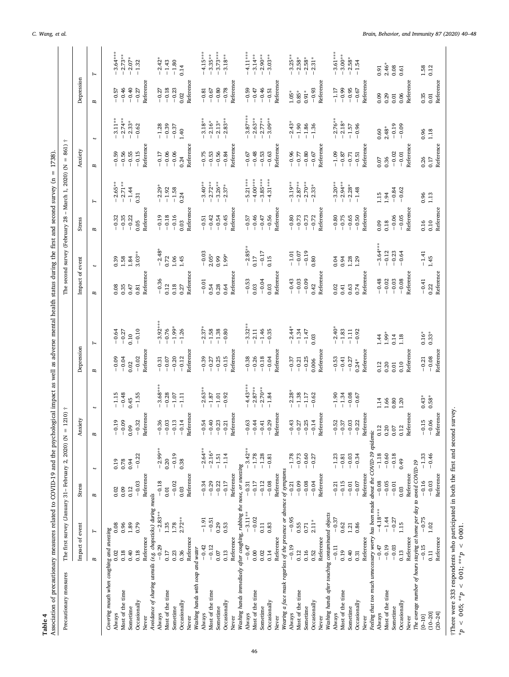<span id="page-6-0"></span>

| Association of precautionary measures related to COVID-19 and the psychological impact as well as adverse mental health status during the first and second survey (n = 1738).<br>Table 4 |                                                       |            |           |            |                    |                          |                    |            |                 |                                                                     |           |              |                  |                          |                  |                  |
|------------------------------------------------------------------------------------------------------------------------------------------------------------------------------------------|-------------------------------------------------------|------------|-----------|------------|--------------------|--------------------------|--------------------|------------|-----------------|---------------------------------------------------------------------|-----------|--------------|------------------|--------------------------|------------------|------------------|
| Precautionary measures                                                                                                                                                                   | The first survey (January 31 - February 2, 2020) (N = |            |           |            | $1210$ ) †         |                          |                    |            |                 | The second survey (February 28 - March 1, 2020) (N = 861) $\dagger$ |           |              |                  |                          |                  |                  |
|                                                                                                                                                                                          | Impact of event                                       |            | Stress    |            | Anxiety            |                          | Depression         |            | Impact of event |                                                                     | Stress    |              | Anxiety          |                          | Depression       |                  |
|                                                                                                                                                                                          | Γ<br>В                                                |            | В         | Ł          | В                  | $\overline{\phantom{0}}$ | В                  | г          | В               | Ł                                                                   | В         | $\mathbf{r}$ | В                | $\overline{\phantom{a}}$ | В                | Γ                |
| Covering mouth when coughing and sneezing                                                                                                                                                |                                                       |            |           |            |                    |                          |                    |            |                 |                                                                     |           |              |                  |                          |                  |                  |
| Always                                                                                                                                                                                   | 0.08<br>0.02                                          |            | 0.02      | 0.19       | $-0.19$            | $-1.15$                  | $-0.09$            | $-0.64$    | 0.08            | 0.39                                                                | $-0.32$   | $-2.65**$    | $-0.59$          | $-3.11**$                | $-0.57$          | $-3.64***$       |
| Most of the time                                                                                                                                                                         | 0.96<br>0.18                                          |            | 0.09      | 0.78       | $-0.09$            | $-0.48$                  | $-0.04$            | $-0.27$    | 0.35            | 1.58                                                                | $-0.35$   | $-2.71**$    | $-0.56$          | $-2.74***$               | $-0.46$          | $-2.73**$        |
| Sometime                                                                                                                                                                                 | 1.89<br>0.40                                          |            | 0.12      | 0.94       | 0.09               | 0.45                     | 0.02               | 0.10       | 0.47            | 1.84                                                                | $-0.22$   | $-1.44$      | $-0.55$          | $-2.33*$                 | $-0.40$          | $-2.07*$         |
| Occasionally                                                                                                                                                                             | 0.79<br>0.18                                          |            | $-0.03$   | $-0.22$    | $-0.32$            | $-1.55$                  | $-0.02$            | $-0.10$    | 0.81            | $3.03**$                                                            | 0.05      | 0.31         | $-0.15$          | $-0.62$                  | $-0.27$          | $-1.32$          |
| Never                                                                                                                                                                                    | Reference                                             |            | Reference |            | Reference          |                          | Reference          |            | Reference       |                                                                     | Reference |              | Reference        |                          | Reference        |                  |
| Avoidance of sharing utensils (e.g. chopsticks) during meals                                                                                                                             |                                                       |            |           |            |                    |                          |                    |            |                 |                                                                     |           |              |                  |                          |                  |                  |
| Always                                                                                                                                                                                   | $-0.29$                                               | $-2.83**$  | $-0.18$   | $-2.99***$ | $-0.36$            | $-3.68***$               | $-0.31$            | $-3.92***$ | $-0.36$         | $-2.48*$                                                            | $-0.19$   | $-2.29*$     | $-0.17$          | $-1.28$                  | $-0.27$          | $-2.42*$         |
| Most of the time                                                                                                                                                                         | 1.35<br>0.17                                          |            | 0.01      | 0.20       | $-0.03$            | $-0.28$                  | $-0.07$            | $-0.76$    | 0.12            | 0.72                                                                | $-0.18$   | $-1.92$      | $-0.06$          | $-0.39$                  | $-0.18$          | $-1.43$          |
| Sometime                                                                                                                                                                                 | 1.78<br>0.23                                          |            | $-0.02$   | $-0.19$    | $-0.13$            | $^{\rm -1.07}$           | $-0.20$            | $-1.99*$   | 0.18            | 1.06                                                                | $-0.16$   | $-1.58$      | $-0.06$          | $-0.37$                  | $-0.23$          | $-1.80$          |
| Occasionally                                                                                                                                                                             | 0.36                                                  | $2.72**$   | 0.03      | 0.38       | $-0.14$            | $-1.11$                  | $-0.12$            | $-1.26$    | 0.27            | 1.45                                                                | 0.03      | 0.24         | 0.24             | 1.40                     | 0.02             | 0.14             |
| Never                                                                                                                                                                                    | Reference                                             |            | Reference |            | Reference          |                          | Reference          |            | Reference       |                                                                     | Reference |              | Reference        |                          | Reference        |                  |
| Washing hands with soap and water<br>Always                                                                                                                                              | $-0.42$                                               | $-1.91$    | $-0.34$   | $-2.64***$ | $-0.54$            | $-2.63**$                | $-0.39$            | $-2.37*$   | $-0.01$         | $-0.03$                                                             | $-0.51$   | $-3.40**$    | $-0.75$          | $-3.18**$                | $-0.81$          | $-4.15***$       |
| Most of the time                                                                                                                                                                         | $-0.12$                                               | $-0.51$    | $-0.29$   | $-2.16*$   | $-0.40$            | $-1.87$                  | $-0.27$            | $-1.58$    | 0.54            | $2.05*$                                                             | $-0.42$   | $-2.72**$    | $-0.53$          | $-2.16*$                 | $-0.67$          | $-3.35***$       |
| Sometime                                                                                                                                                                                 | 0.29<br>0.07                                          |            | $-0.22$   | $-1.51$    | $-0.23$            | $-1.01$                  | $-0.25$            | $-1.38$    | 0.28            | 0.99                                                                | $-0.54$   | $-3.26**$    | $-0.56$          | $-2.13*$                 | $-0.80$          | $-3.73***$       |
| Occasionally                                                                                                                                                                             | 0.53<br>0.13                                          |            | $-0.17$   | $-1.14$    | $-0.21$            | $-0.92$                  | $-0.15$            | $-0.80$    | 0.64            | $1.99*$                                                             | $-0.45$   | $2.37*$      | $-0.84$          | $-2.83**$                | $-0.78$          | $3.18**$         |
| Never                                                                                                                                                                                    |                                                       |            |           |            | Reference          |                          |                    |            |                 |                                                                     |           |              |                  |                          |                  |                  |
| Washing hands immediaely after coughing, rubbing the nose, or sneezing                                                                                                                   | Reference                                             |            | Reference |            |                    |                          | Reference          |            | Reference       |                                                                     | Reference |              | Reference        |                          | Reference        |                  |
| Always                                                                                                                                                                                   | $-0.47$                                               | $-3.11**$  | $-0.31$   | $-3.42**$  | $-0.63$            | $-4.43***$               |                    | $-3.32**$  | $-0.53$         | $-2.85**$                                                           | $-0.57$   | $5.21***$    | $-0.67$          | $-3.87***$               | $-0.59$          | $-4.11***$       |
| Most of the time                                                                                                                                                                         | 0.00                                                  | $-0.02$    | $-0.17$   | $-1.78$    | $-0.44$            | $-2.87***$               | $-0.38$<br>$-0.26$ | $-2.11$    | 0.03            | $0.17$                                                              | $-0.46$   | $-4.00***$   | $-0.48$          | $-2.63***$               | $-0.47$          | $-3.14***$       |
| Sometime                                                                                                                                                                                 | 0.11<br>0.02                                          |            | $-0.12$   | $-1.28$    | $-0.41$            | $-2.70**$                | $-0.18$            | $-1.46$    | $-0.04$         | $-0.17$                                                             | $-0.47$   | $-3.85***$   | $-0.53$          | $-2.77**$                | $-0.46$          | $-2.90**$        |
| Occasionally                                                                                                                                                                             | 0.83<br>0.14                                          |            | $-0.08$   | $-0.81$    | $-0.29$            | $-1.84$                  | $-0.04$            | $-0.35$    | 0.03            | 0.15                                                                | $-0.56$   | $-4.31***$   | $-0.63$          | $-3.09***$               | $-0.51$          | $-3.03**$        |
| Never                                                                                                                                                                                    | Reference                                             |            | Reference |            | Reference          |                          | Reference          |            | Reference       |                                                                     | Reference |              | Reference        |                          | Reference        |                  |
| Wearing a face mask regarless of the presence or absence of symptoms                                                                                                                     |                                                       |            |           |            |                    |                          |                    |            |                 |                                                                     |           |              |                  |                          |                  |                  |
| Always                                                                                                                                                                                   | $-0.19$                                               | $-0.95$    | $-0.21$   | $-1.78$    | $-0.43$            | $-2.28*$                 | $-0.37$            | $-2.44*$   | $-0.43$         | $-1.01$                                                             | $-0.80$   | $-3.19**$    | $-0.96$          | $-2.43*$                 | $1.05*$          | $-3.25**$        |
| Most of the time                                                                                                                                                                         | 0.55<br>0.12                                          |            | $-0.09$   | $-0.73$    | $-0.27$            | $-1.38$                  | $-0.21$            | $-1.34$    | $-0.03$         | $-0.07$                                                             | $-0.73$   | $-2.87***$   | $-0.77$          | $-1.90$                  | $0.85\,{}^*$     | $-2.58*$         |
| Sometime                                                                                                                                                                                 | 0.71<br>0.16                                          |            | $-0.08$   | $-0.60$    | $-0.25$            | $^{\rm -1.17}$           | $-0.25$            | $-1.47$    | $-0.09$         | $-0.19$                                                             | $-0.73$   | $-2.70**$    | $-0.80$          | $-1.86$                  | $0.91*$          | $-2.58*$         |
| Occasionally                                                                                                                                                                             | 0.52                                                  | $2.11*$    | $-0.04$   | $-0.27$    | $-0.14$            | $-0.62$                  | 0.006              | 0.03       | 0.42            | 0.80                                                                | $-0.72$   | $2.33*$      | $-0.67$          | $-1.36$                  | $-0.93$          | $-2.31*$         |
| Never                                                                                                                                                                                    | Reference                                             |            | Reference |            | Reference          |                          | Reference          |            | Reference       |                                                                     | Reference |              | Reference        |                          | Reference        |                  |
| Washing hands after touching contaminated objects                                                                                                                                        |                                                       |            |           |            |                    |                          |                    |            |                 |                                                                     |           |              |                  |                          |                  |                  |
| Always                                                                                                                                                                                   | $-0.11$                                               | $-0.37$    | $-0.21$   | $-1.23$    | $-0.52$<br>$-0.37$ | $-1.90$                  | $-0.53$            | $-2.40*$   | 0.02            | 0.04                                                                | $-0.80$   | $3.20**$     | $-1.09$          | $-2.76**$                | $-1.17$          | $-3.61***$       |
| Most of the time                                                                                                                                                                         | 0.62<br>0.19                                          |            | $-0.15$   | $-0.81$    |                    | $-1.34$                  | $-0.41$            | $-1.83$    | 0.41            | 0.94                                                                | $-0.75$   | $-2.94***$   | $-0.87$          | $-2.18*$                 | $-0.99$          | $-3.00**$        |
| Sometime                                                                                                                                                                                 | $1.21\,$<br>0.40                                      |            | $-0.01$   | $-0.03$    | $-0.03$            | $-0.08$                  | $-0.27$            | $-1.11$    | 0.63            | 1.28                                                                | $-0.65$   | $-2.28*$     | $-0.71$          | $-1.57$                  | $-0.95$          | $-2.58*$         |
| Occasionally                                                                                                                                                                             | 0.86<br>0.31                                          |            | $-0.07$   | $-0.34$    | $-0.22$            | $-0.67$                  | $0.24*$            | $-0.92$    | 0.74            | 1.29                                                                | $-0.50$   | $-1.48$      | $-0.51$          | $-0.96$                  | $-0.67$          | $-1.54$          |
| Never                                                                                                                                                                                    | Reference                                             |            | Reference |            | Reference          |                          | Reference          |            | Reference       |                                                                     | Reference |              | Reference        |                          | Reference        |                  |
| Feeling that too much unnecessary worry has been made about the COVID-19 epidemic                                                                                                        |                                                       |            |           |            |                    |                          |                    |            |                 |                                                                     |           |              |                  |                          |                  |                  |
| Always                                                                                                                                                                                   | $-0.47$                                               | $-4.18***$ | $-0.08$   | $-1.18$    | 0.12               | 1.14                     | 0.12               | 144        | $-0.48$         | $-3.64***$                                                          | 0.09      | 1.15         | 0.07             | 0.60                     | 0.09             | 0.91             |
| Most of the time                                                                                                                                                                         | $-0.19$                                               | $-1.44$    | $-0.05$   | $-0.60$    | 0.20               | 1.66                     | 0.20               | $1.99*$    | $-0.02$         | $-0.12$                                                             | 0.18      | 1.94         | 0.36             | $2.48*$                  | 0.29             | $2.46*$          |
| Sometime                                                                                                                                                                                 | $-0.03$                                               | $-0.27$    | $-0.01$   | $-0.18$    | 0.07               | 0.80                     | 0.01               | 0.14       | $-0.03$         | $-0.23$                                                             | $-0.06$   | $-0.84$      | $-0.02$          | $-0.19$                  | 0.01             | 0.08             |
| Occasionally                                                                                                                                                                             | 1.15<br>0.13                                          |            | 0.03      | 0.49       | 0.12               | 1.20                     | 0.10               | 1.18       | $-0.08$         | $-0.64$                                                             | $-0.05$   | $-0.62$      | $-0.01$          | $-0.09$                  | 0.06             | 0.61             |
| Never                                                                                                                                                                                    | Reference                                             |            | Reference |            | Reference          |                          | Reference          |            | Reference       |                                                                     | Reference |              | Reference        |                          | Reference        |                  |
| The average number of hours staying at home per day to avoid COVID-19<br>$[0 - 10]$                                                                                                      | $-0.15$                                               | $-0.75$    | $-0.16$   | $-1.33$    | $-0.15$            | $0.43*$                  | $-0.21$            | $0.16*$    | $-0.41$         | $-1.41$                                                             | 0.16      | 0.96         |                  | 0.96                     |                  |                  |
| $(10-20)$                                                                                                                                                                                | $1.02\,$<br>0.11                                      |            | $-0.03$   | $-0.46$    | $-0.06$            | $0.58*$                  | $-0.08$            | $0.33*$    | 0.22            | 1.45                                                                | 0.10      | $1.13\,$     | $0.26$<br>$0.17$ | 1.18                     | $0.35$<br>$0.01$ | $1.58$<br>$0.12$ |
| $(20 - 24)$                                                                                                                                                                              | Reference                                             |            | Reference |            | Reference          |                          | Reference          |            | Reference       |                                                                     | Reference |              | Reference        |                          | Reference        |                  |

C. Wang, et al. *Brain, Behavior, and Immunity 87 (2020) 40–48*

†There were 333 respondents who participated in both the first and second survey. \*p < 0·05; \*\*p < 0·01; \*\*\*p < 0·001. †There were 333 respondents who participated in both the first and second survey.

 $*_{p}$  < 0.05;  $*_{p}$  < 0.01;  $*_{p}$  < 0.001.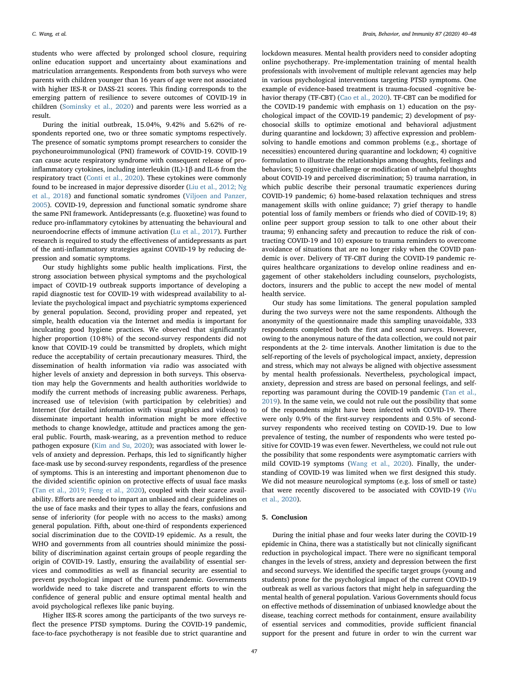students who were affected by prolonged school closure, requiring online education support and uncertainty about examinations and matriculation arrangements. Respondents from both surveys who were parents with children younger than 16 years of age were not associated with higher IES-R or DASS-21 scores. This finding corresponds to the emerging pattern of resilience to severe outcomes of COVID-19 in children [\(Sominsky et al., 2020](#page-8-16)) and parents were less worried as a result.

During the initial outbreak, 15.04%, 9.42% and 5.62% of respondents reported one, two or three somatic symptoms respectively. The presence of somatic symptoms prompt researchers to consider the psychoneuroimmunological (PNI) framework of COVID-19. COVID-19 can cause acute respiratory syndrome with consequent release of proinflammatory cytokines, including interleukin (IL)-1β and IL-6 from the respiratory tract [\(Conti et al., 2020](#page-8-17)). These cytokines were commonly found to be increased in major depressive disorder ([Liu et al., 2012; Ng](#page-8-18) [et al., 2018](#page-8-18)) and functional somatic syndromes [\(Viljoen and Panzer,](#page-8-19) [2005\)](#page-8-19). COVID-19, depression and functional somatic syndrome share the same PNI framework. Antidepressants (e.g. fluoxetine) was found to reduce pro-inflammatory cytokines by attenuating the behavioural and neuroendocrine effects of immune activation ([Lu et al., 2017\)](#page-8-20). Further research is required to study the effectiveness of antidepressants as part of the anti-inflammatory strategies against COVID-19 by reducing depression and somatic symptoms.

Our study highlights some public health implications. First, the strong association between physical symptoms and the psychological impact of COVID-19 outbreak supports importance of developing a rapid diagnostic test for COVID-19 with widespread availability to alleviate the psychological impact and psychiatric symptoms experienced by general population. Second, providing proper and repeated, yet simple, health education via the Internet and media is important for inculcating good hygiene practices. We observed that significantly higher proportion (10·8%) of the second-survey respondents did not know that COVID-19 could be transmitted by droplets, which might reduce the acceptability of certain precautionary measures. Third, the dissemination of health information via radio was associated with higher levels of anxiety and depression in both surveys. This observation may help the Governments and health authorities worldwide to modify the current methods of increasing public awareness. Perhaps, increased use of television (with participation by celebrities) and Internet (for detailed information with visual graphics and videos) to disseminate important health information might be more effective methods to change knowledge, attitude and practices among the general public. Fourth, mask-wearing, as a prevention method to reduce pathogen exposure [\(Kim and Su, 2020](#page-8-21)); was associated with lower levels of anxiety and depression. Perhaps, this led to significantly higher face-mask use by second-survey respondents, regardless of the presence of symptoms. This is an interesting and important phenomenon due to the divided scientific opinion on protective effects of usual face masks ([Tan et al., 2019; Feng et al., 2020\)](#page-8-22), coupled with their scarce availability. Efforts are needed to impart an unbiased and clear guidelines on the use of face masks and their types to allay the fears, confusions and sense of inferiority (for people with no access to the masks) among general population. Fifth, about one-third of respondents experienced social discrimination due to the COVID-19 epidemic. As a result, the WHO and governments from all countries should minimize the possibility of discrimination against certain groups of people regarding the origin of COVID-19. Lastly, ensuring the availability of essential services and commodities as well as financial security are essential to prevent psychological impact of the current pandemic. Governments worldwide need to take discrete and transparent efforts to win the confidence of general public and ensure optimal mental health and avoid psychological reflexes like panic buying.

Higher IES-R scores among the participants of the two surveys reflect the presence PTSD symptoms. During the COVID-19 pandemic, face-to-face psychotherapy is not feasible due to strict quarantine and

lockdown measures. Mental health providers need to consider adopting online psychotherapy. Pre-implementation training of mental health professionals with involvement of multiple relevant agencies may help in various psychological interventions targeting PTSD symptoms. One example of evidence-based treatment is trauma-focused -cognitive behavior therapy (TF-CBT) [\(Cao et al., 2020](#page-8-8)). TF-CBT can be modified for the COVID-19 pandemic with emphasis on 1) education on the psychological impact of the COVID-19 pandemic; 2) development of psychosocial skills to optimize emotional and behavioral adjustment during quarantine and lockdown; 3) affective expression and problemsolving to handle emotions and common problems (e.g., shortage of necessities) encountered during quarantine and lockdown; 4) cognitive formulation to illustrate the relationships among thoughts, feelings and behaviors; 5) cognitive challenge or modification of unhelpful thoughts about COVID-19 and perceived discrimination; 5) trauma narration, in which public describe their personal traumatic experiences during COVID-19 pandemic; 6) home-based relaxation techniques and stress management skills with online guidance; 7) grief therapy to handle potential loss of family members or friends who died of COVID-19; 8) online peer support group session to talk to one other about their trauma; 9) enhancing safety and precaution to reduce the risk of contracting COVID-19 and 10) exposure to trauma reminders to overcome avoidance of situations that are no longer risky when the COVID pandemic is over. Delivery of TF-CBT during the COVID-19 pandemic requires healthcare organizations to develop online readiness and engagement of other stakeholders including counselors, psychologists, doctors, insurers and the public to accept the new model of mental health service.

Our study has some limitations. The general population sampled during the two surveys were not the same respondents. Although the anonymity of the questionnaire made this sampling unavoidable, 333 respondents completed both the first and second surveys. However, owing to the anonymous nature of the data collection, we could not pair respondents at the 2- time intervals. Another limitation is due to the self-reporting of the levels of psychological impact, anxiety, depression and stress, which may not always be aligned with objective assessment by mental health professionals. Nevertheless, psychological impact, anxiety, depression and stress are based on personal feelings, and selfreporting was paramount during the COVID-19 pandemic ([Tan et al.,](#page-8-22) [2019\)](#page-8-22). In the same vein, we could not rule out the possibility that some of the respondents might have been infected with COVID-19. There were only 0.9% of the first-survey respondents and 0.5% of secondsurvey respondents who received testing on COVID-19. Due to low prevalence of testing, the number of respondents who were tested positive for COVID-19 was even fewer. Nevertheless, we could not rule out the possibility that some respondents were asymptomatic carriers with mild COVID-19 symptoms [\(Wang et al., 2020\)](#page-8-10). Finally, the understanding of COVID-19 was limited when we first designed this study. We did not measure neurological symptoms (e.g. loss of smell or taste) that were recently discovered to be associated with COVID-19 ([Wu](#page-8-23) [et al., 2020](#page-8-23)).

## 5. Conclusion

During the initial phase and four weeks later during the COVID-19 epidemic in China, there was a statistically but not clinically significant reduction in psychological impact. There were no significant temporal changes in the levels of stress, anxiety and depression between the first and second surveys. We identified the specific target groups (young and students) prone for the psychological impact of the current COVID-19 outbreak as well as various factors that might help in safeguarding the mental health of general population. Various Governments should focus on effective methods of dissemination of unbiased knowledge about the disease, teaching correct methods for containment, ensure availability of essential services and commodities, provide sufficient financial support for the present and future in order to win the current war